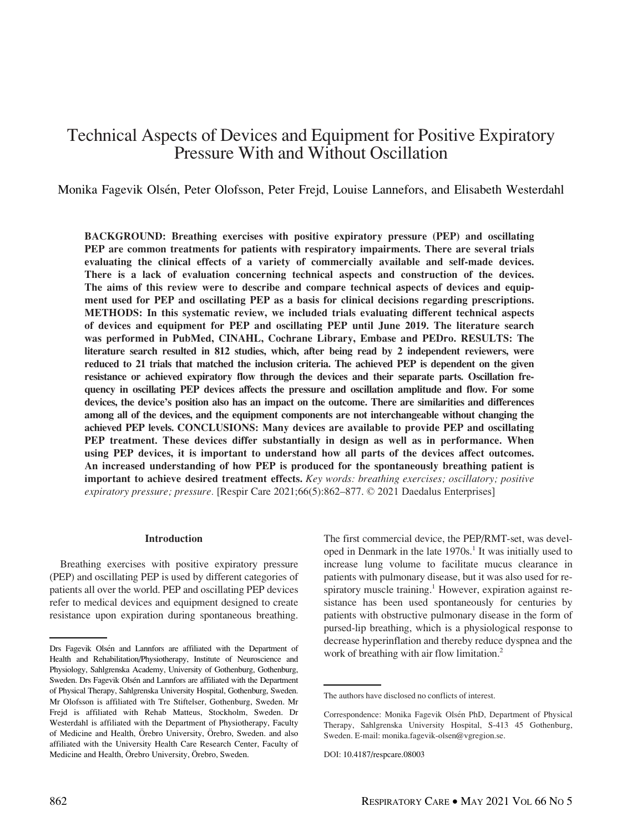# Technical Aspects of Devices and Equipment for Positive Expiratory Pressure With and Without Oscillation

Monika Fagevik Olsén, Peter Olofsson, Peter Frejd, Louise Lannefors, and Elisabeth Westerdahl

BACKGROUND: Breathing exercises with positive expiratory pressure (PEP) and oscillating PEP are common treatments for patients with respiratory impairments. There are several trials evaluating the clinical effects of a variety of commercially available and self-made devices. There is a lack of evaluation concerning technical aspects and construction of the devices. The aims of this review were to describe and compare technical aspects of devices and equipment used for PEP and oscillating PEP as a basis for clinical decisions regarding prescriptions. METHODS: In this systematic review, we included trials evaluating different technical aspects of devices and equipment for PEP and oscillating PEP until June 2019. The literature search was performed in PubMed, CINAHL, Cochrane Library, Embase and PEDro. RESULTS: The literature search resulted in 812 studies, which, after being read by 2 independent reviewers, were reduced to 21 trials that matched the inclusion criteria. The achieved PEP is dependent on the given resistance or achieved expiratory flow through the devices and their separate parts. Oscillation frequency in oscillating PEP devices affects the pressure and oscillation amplitude and flow. For some devices, the device's position also has an impact on the outcome. There are similarities and differences among all of the devices, and the equipment components are not interchangeable without changing the achieved PEP levels. CONCLUSIONS: Many devices are available to provide PEP and oscillating PEP treatment. These devices differ substantially in design as well as in performance. When using PEP devices, it is important to understand how all parts of the devices affect outcomes. An increased understanding of how PEP is produced for the spontaneously breathing patient is important to achieve desired treatment effects. Key words: breathing exercises; oscillatory; positive expiratory pressure; pressure. [Respir Care 2021;66(5):862–877. © 2021 Daedalus Enterprises]

#### Introduction

Breathing exercises with positive expiratory pressure (PEP) and oscillating PEP is used by different categories of patients all over the world. PEP and oscillating PEP devices refer to medical devices and equipment designed to create resistance upon expiration during spontaneous breathing.

The first commercial device, the PEP/RMT-set, was developed in Denmark in the late  $1970s<sup>1</sup>$ . It was initially used to increase lung volume to facilitate mucus clearance in patients with pulmonary disease, but it was also used for respiratory muscle training.<sup>1</sup> However, expiration against resistance has been used spontaneously for centuries by patients with obstructive pulmonary disease in the form of pursed-lip breathing, which is a physiological response to decrease hyperinflation and thereby reduce dyspnea and the

Drs Fagevik Olsén and Lannfors are affiliated with the Department of vork of breathing with air flow limitation.<sup>2</sup> Health and Rehabilitation/Physiotherapy, Institute of Neuroscience and Physiology, Sahlgrenska Academy, University of Gothenburg, Gothenburg, Sweden. Drs Fagevik Olsén and Lannfors are affiliated with the Department of Physical Therapy, Sahlgrenska University Hospital, Gothenburg, Sweden. Mr Olofsson is affiliated with Tre Stiftelser, Gothenburg, Sweden. Mr Frejd is affiliated with Rehab Matteus, Stockholm, Sweden. Dr Westerdahl is affiliated with the Department of Physiotherapy, Faculty of Medicine and Health, Örebro University, Örebro, Sweden. and also affiliated with the University Health Care Research Center, Faculty of Medicine and Health, Örebro University, Örebro, Sweden.

The authors have disclosed no conflicts of interest.

Correspondence: Monika Fagevik Olsén PhD, Department of Physical Therapy, Sahlgrenska University Hospital, S-413 45 Gothenburg, Sweden. E-mail: [monika.fagevik-olsen@vgregion.se.](mailto:monika.fagevik-olsen@vgregion.se)

DOI: 10.4187/respcare.08003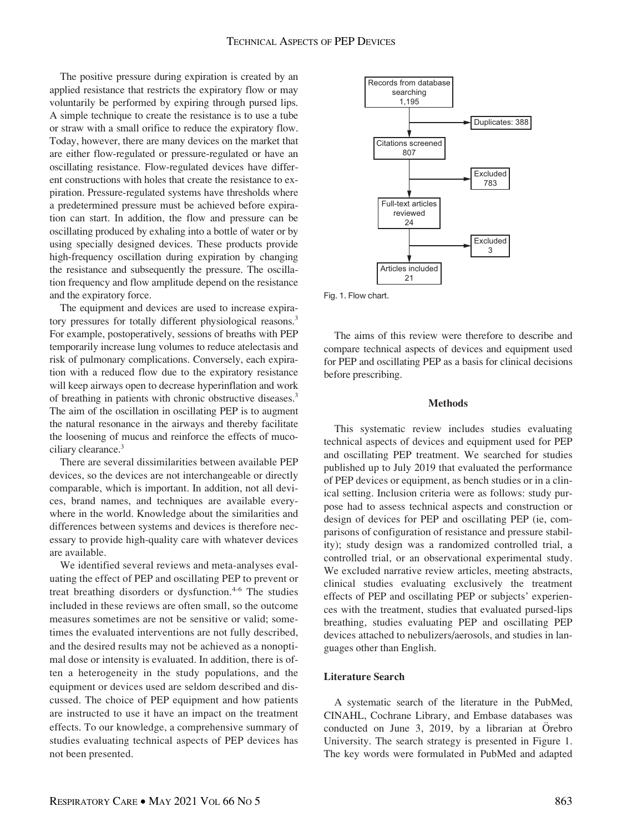The positive pressure during expiration is created by an applied resistance that restricts the expiratory flow or may voluntarily be performed by expiring through pursed lips. A simple technique to create the resistance is to use a tube or straw with a small orifice to reduce the expiratory flow. Today, however, there are many devices on the market that are either flow-regulated or pressure-regulated or have an oscillating resistance. Flow-regulated devices have different constructions with holes that create the resistance to expiration. Pressure-regulated systems have thresholds where a predetermined pressure must be achieved before expiration can start. In addition, the flow and pressure can be oscillating produced by exhaling into a bottle of water or by using specially designed devices. These products provide high-frequency oscillation during expiration by changing the resistance and subsequently the pressure. The oscillation frequency and flow amplitude depend on the resistance and the expiratory force.

The equipment and devices are used to increase expiratory pressures for totally different physiological reasons.<sup>3</sup> For example, postoperatively, sessions of breaths with PEP temporarily increase lung volumes to reduce atelectasis and risk of pulmonary complications. Conversely, each expiration with a reduced flow due to the expiratory resistance will keep airways open to decrease hyperinflation and work of breathing in patients with chronic obstructive diseases.<sup>3</sup> The aim of the oscillation in oscillating PEP is to augment the natural resonance in the airways and thereby facilitate the loosening of mucus and reinforce the effects of mucociliary clearance.<sup>3</sup>

There are several dissimilarities between available PEP devices, so the devices are not interchangeable or directly comparable, which is important. In addition, not all devices, brand names, and techniques are available everywhere in the world. Knowledge about the similarities and differences between systems and devices is therefore necessary to provide high-quality care with whatever devices are available.

We identified several reviews and meta-analyses evaluating the effect of PEP and oscillating PEP to prevent or treat breathing disorders or dysfunction.<sup>4-6</sup> The studies included in these reviews are often small, so the outcome measures sometimes are not be sensitive or valid; sometimes the evaluated interventions are not fully described, and the desired results may not be achieved as a nonoptimal dose or intensity is evaluated. In addition, there is often a heterogeneity in the study populations, and the equipment or devices used are seldom described and discussed. The choice of PEP equipment and how patients are instructed to use it have an impact on the treatment effects. To our knowledge, a comprehensive summary of studies evaluating technical aspects of PEP devices has not been presented.



Fig. 1. Flow chart.

The aims of this review were therefore to describe and compare technical aspects of devices and equipment used for PEP and oscillating PEP as a basis for clinical decisions before prescribing.

#### Methods

This systematic review includes studies evaluating technical aspects of devices and equipment used for PEP and oscillating PEP treatment. We searched for studies published up to July 2019 that evaluated the performance of PEP devices or equipment, as bench studies or in a clinical setting. Inclusion criteria were as follows: study purpose had to assess technical aspects and construction or design of devices for PEP and oscillating PEP (ie, comparisons of configuration of resistance and pressure stability); study design was a randomized controlled trial, a controlled trial, or an observational experimental study. We excluded narrative review articles, meeting abstracts, clinical studies evaluating exclusively the treatment effects of PEP and oscillating PEP or subjects' experiences with the treatment, studies that evaluated pursed-lips breathing, studies evaluating PEP and oscillating PEP devices attached to nebulizers/aerosols, and studies in languages other than English.

#### Literature Search

A systematic search of the literature in the PubMed, CINAHL, Cochrane Library, and Embase databases was conducted on June 3, 2019, by a librarian at Örebro University. The search strategy is presented in Figure 1. The key words were formulated in PubMed and adapted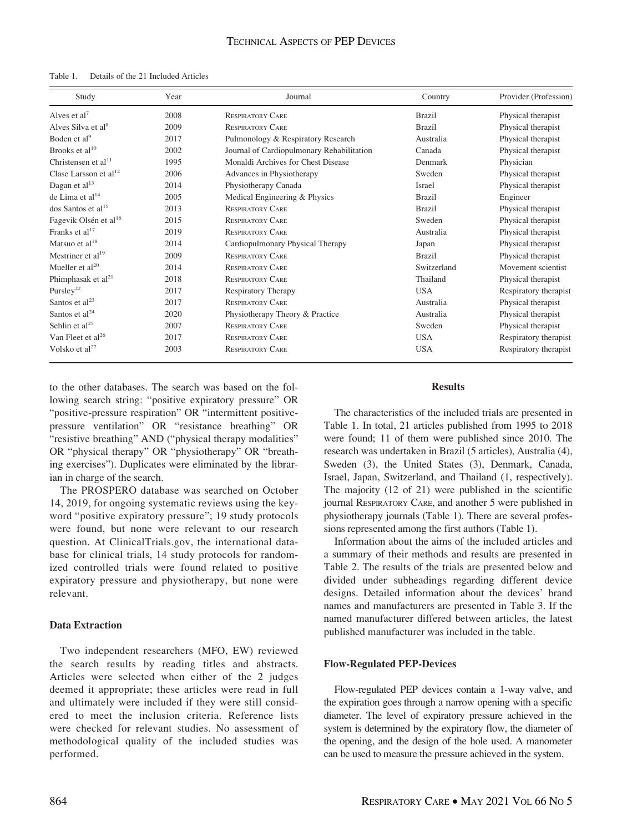| Study                             | Year | Journal                                   | Country       | Provider (Profession) |
|-----------------------------------|------|-------------------------------------------|---------------|-----------------------|
| Alves et al <sup>7</sup>          | 2008 | <b>RESPIRATORY CARE</b>                   | <b>Brazil</b> | Physical therapist    |
| Alves Silva et al <sup>8</sup>    | 2009 | <b>RESPIRATORY CARE</b>                   | <b>Brazil</b> | Physical therapist    |
| Boden et al <sup>9</sup>          | 2017 | Pulmonology & Respiratory Research        | Australia     | Physical therapist    |
| Brooks et al $^{10}$              | 2002 | Journal of Cardiopulmonary Rehabilitation | Canada        | Physical therapist    |
| Christensen et al $^{11}$         | 1995 | Monaldi Archives for Chest Disease        | Denmark       | Physician             |
| Clase Larsson et $al12$           | 2006 | Advances in Physiotherapy                 | Sweden        | Physical therapist    |
| Dagan et al <sup>13</sup>         | 2014 | Physiotherapy Canada                      | Israel        | Physical therapist    |
| de Lima et al $14$                | 2005 | Medical Engineering & Physics             | <b>Brazil</b> | Engineer              |
| dos Santos et al <sup>15</sup>    | 2013 | <b>RESPIRATORY CARE</b>                   | <b>Brazil</b> | Physical therapist    |
| Fagevik Olsén et al <sup>16</sup> | 2015 | <b>RESPIRATORY CARE</b>                   | Sweden        | Physical therapist    |
| Franks et $al17$                  | 2019 | <b>RESPIRATORY CARE</b>                   | Australia     | Physical therapist    |
| Matsuo et al $^{18}$              | 2014 | Cardiopulmonary Physical Therapy          | Japan         | Physical therapist    |
| Mestriner et al <sup>19</sup>     | 2009 | <b>RESPIRATORY CARE</b>                   | <b>Brazil</b> | Physical therapist    |
| Mueller et al <sup>20</sup>       | 2014 | <b>RESPIRATORY CARE</b>                   | Switzerland   | Movement scientist    |
| Phimphasak et al <sup>21</sup>    | 2018 | <b>RESPIRATORY CARE</b>                   | Thailand      | Physical therapist    |
| Pursley <sup>22</sup>             | 2017 | <b>Respiratory Therapy</b>                | <b>USA</b>    | Respiratory therapist |
| Santos et al $^{23}$              | 2017 | <b>RESPIRATORY CARE</b>                   | Australia     | Physical therapist    |
| Santos et $al24$                  | 2020 | Physiotherapy Theory & Practice           | Australia     | Physical therapist    |
| Sehlin et $al25$                  | 2007 | <b>RESPIRATORY CARE</b>                   | Sweden        | Physical therapist    |
| Van Fleet et al <sup>26</sup>     | 2017 | <b>RESPIRATORY CARE</b>                   | <b>USA</b>    | Respiratory therapist |
| Volsko et al <sup>27</sup>        | 2003 | <b>RESPIRATORY CARE</b>                   | <b>USA</b>    | Respiratory therapist |

to the other databases. The search was based on the following search string: "positive expiratory pressure" OR "positive-pressure respiration" OR "intermittent positivepressure ventilation" OR "resistance breathing" OR "resistive breathing" AND ("physical therapy modalities" OR "physical therapy" OR "physiotherapy" OR "breathing exercises"). Duplicates were eliminated by the librarian in charge of the search.

The PROSPERO database was searched on October 14, 2019, for ongoing systematic reviews using the keyword "positive expiratory pressure"; 19 study protocols were found, but none were relevant to our research question. At ClinicalTrials.gov, the international database for clinical trials, 14 study protocols for randomized controlled trials were found related to positive expiratory pressure and physiotherapy, but none were relevant.

### Data Extraction

Two independent researchers (MFO, EW) reviewed the search results by reading titles and abstracts. Articles were selected when either of the 2 judges deemed it appropriate; these articles were read in full and ultimately were included if they were still considered to meet the inclusion criteria. Reference lists were checked for relevant studies. No assessment of methodological quality of the included studies was performed.

#### Results

The characteristics of the included trials are presented in Table 1. In total, 21 articles published from 1995 to 2018 were found; 11 of them were published since 2010. The research was undertaken in Brazil (5 articles), Australia (4), Sweden (3), the United States (3), Denmark, Canada, Israel, Japan, Switzerland, and Thailand (1, respectively). The majority (12 of 21) were published in the scientific journal RESPIRATORY CARE, and another 5 were published in physiotherapy journals (Table 1). There are several professions represented among the first authors (Table 1).

Information about the aims of the included articles and a summary of their methods and results are presented in Table 2. The results of the trials are presented below and divided under subheadings regarding different device designs. Detailed information about the devices' brand names and manufacturers are presented in Table 3. If the named manufacturer differed between articles, the latest published manufacturer was included in the table.

#### Flow-Regulated PEP-Devices

Flow-regulated PEP devices contain a 1-way valve, and the expiration goes through a narrow opening with a specific diameter. The level of expiratory pressure achieved in the system is determined by the expiratory flow, the diameter of the opening, and the design of the hole used. A manometer can be used to measure the pressure achieved in the system.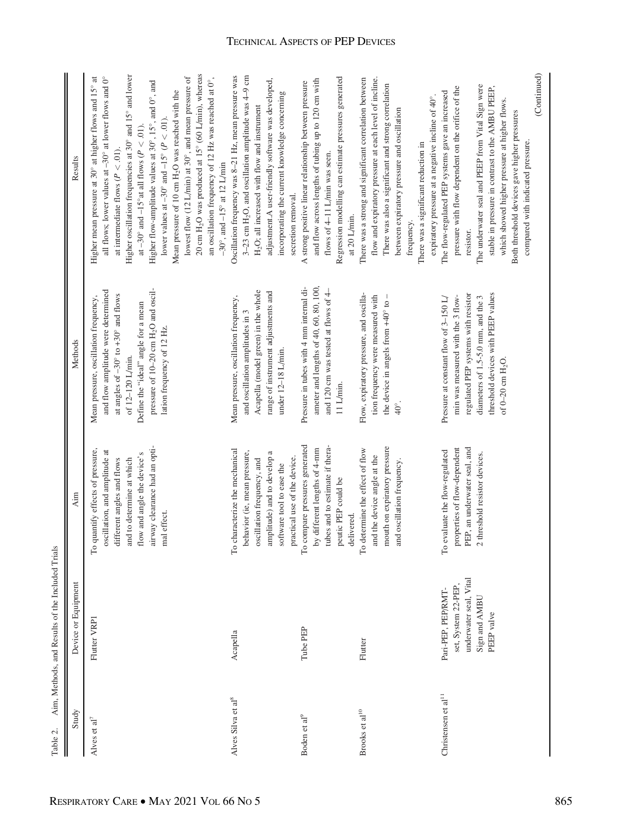| Study                          | Device or Equipment                                                                                | Aim                                                                                                                                                                                                         | Methods                                                                                                                                                                                                                                                                           | Results                                                                                                                                                                                                                                                                                                                                                                                                                                                                                                                                                                                                                                                                                                                           |
|--------------------------------|----------------------------------------------------------------------------------------------------|-------------------------------------------------------------------------------------------------------------------------------------------------------------------------------------------------------------|-----------------------------------------------------------------------------------------------------------------------------------------------------------------------------------------------------------------------------------------------------------------------------------|-----------------------------------------------------------------------------------------------------------------------------------------------------------------------------------------------------------------------------------------------------------------------------------------------------------------------------------------------------------------------------------------------------------------------------------------------------------------------------------------------------------------------------------------------------------------------------------------------------------------------------------------------------------------------------------------------------------------------------------|
| Alves et $al7$                 | Flutter VRP1                                                                                       | airway clearance had an opti-<br>To quantify effects of pressure,<br>oscillation, and amplitude at<br>flow and angle the device's<br>different angles and flows<br>and to determine at which<br>mal effect. | pressure of 10-20 cm H <sub>2</sub> O and oscil-<br>and flow amplitude were determined<br>at angles of $-30^{\circ}$ to $+30^{\circ}$ and flows<br>Mean pressure, oscillation frequency,<br>Define the "ideal" angle for a mean<br>lation frequency of 12 Hz.<br>of 12-120 L/min. | 20 cm H <sub>2</sub> O was produced at 15° (60 L/min), whereas<br>Higher oscillation frequencies at 30° and 15° and lower<br>lowest flow (12 L/min) at 30°, and mean pressure of<br>all flows; lower values at $-30^{\circ}$ at lower flows and $0^{\circ}$<br>an oscillation frequency of 12 Hz was reached at 0°,<br>ಕ<br>Higher flow-amplitude values at 30°, 15°, and 0°, and<br>Higher mean pressure at 30° at higher flows and 15°<br>Mean pressure of 10 cm H <sub>2</sub> O was reached with the<br>lower values at $-30^{\circ}$ and $-15^{\circ}$ ( $P < .01$ ).<br>at $-30^{\circ}$ and $-15^{\circ}$ at all flows ( $P < .01$ ).<br>at intermediate flows ( $P < .01$ ).<br>$-30^\circ$ , and $-15^\circ$ at 12 L/min |
| Alves Silva et al <sup>8</sup> | Acapella                                                                                           | To characterize the mechanical<br>behavior (ie, mean pressure,<br>amplitude) and to develop a<br>practical use of the device.<br>oscillation frequency, and<br>software tool to ease the                    | Acapella (model green) in the whole<br>range of instrument adjustments and<br>Mean pressure, oscillation frequency,<br>and oscillation amplitudes in 3<br>under 12-18 L/min.                                                                                                      | Oscillation frequency was 8-21 Hz, mean pressure was<br>3–23 cm H <sub>2</sub> O, and oscillation amplitude was $4-9$ cm<br>adjustment.A user-friendly software was developed,<br>incorporating the current knowledge concerning<br>H <sub>2</sub> O; all increased with flow and instrument<br>secretion removal.                                                                                                                                                                                                                                                                                                                                                                                                                |
| Boden et al <sup>9</sup>       | Tube PEP                                                                                           | To compare pressures generated<br>tubes and to estimate if thera-<br>by different lengths of 4-mm<br>peutic PEP could be<br>delivered.                                                                      | ameter and lengths of 40, 60, 80, 100,<br>Pressure in tubes with 4 mm internal di-<br>and 120 cm was tested at flows of 4-<br>$11$ L/ $min$ .                                                                                                                                     | Regression modelling can estimate pressures generated<br>and flow across lengths of tubing up to 120 cm with<br>A strong positive linear relationship between pressure<br>flows of 4-11 L/min was seen.<br>at 20 L/min.                                                                                                                                                                                                                                                                                                                                                                                                                                                                                                           |
| Brooks et al $^{10}$           | Flutter                                                                                            | mouth on expiratory pressure<br>To determine the effect of flow<br>and the device angle at the<br>and oscillation frequency.                                                                                | Flow, expiratory pressure, and oscilla-<br>tion frequency were measured with<br>the device in angels from $+40^{\circ}$ to -<br>$^{40^{\circ}}$                                                                                                                                   | flow and expiratory pressure at each level of incline.<br>There was a strong and significant correlation between<br>There was also a significant and strong correlation<br>expiratory pressure at a negative incline of 40°.<br>between expiratory pressure and oscillation<br>There was a significant reduction in<br>frequency.                                                                                                                                                                                                                                                                                                                                                                                                 |
| Christensen et al $^{11}$      | underwater seal, Vital<br>set, System 22-PEP,<br>Pari-PEP, PEP/RMT-<br>Sign and AMBU<br>PEEP valve | properties of flow-dependent<br>PEP, an underwater seal, and<br>To evaluate the flow-regulated<br>2 threshold resistor devices.                                                                             | threshold devices with PEEP values<br>regulated PEP systems with resistor<br>min was measured with the 3 flow-<br>diameters of 1.5-5.0 mm, and the 3<br>Pressure at constant flow of 3-150 L/<br>of $0-20$ cm $H_2O$ .                                                            | (Continued)<br>The underwater seal and PEEP from Vital Sign were<br>stable in pressure in contrast to the AMBU PEEP,<br>pressure with flow dependent on the orifice of the<br>The flow-regulated PEP systems gave an increased<br>which showed higher pressure at higher flows.<br>Both threshold devices gave higher pressures<br>compared with indicated pressure.<br>resistor.                                                                                                                                                                                                                                                                                                                                                 |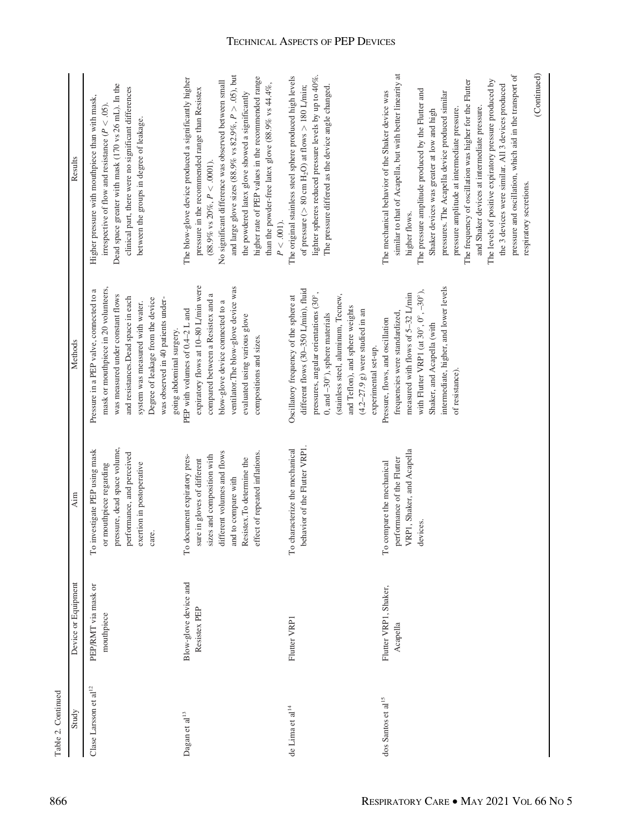| Table 2. Continued             |                                       |                                                                                                                                                                                                                |                                                                                                                                                                                                                                                                                                           |                                                                                                                                                                                                                                                                                                                                                                                                                                                                                                                                                                                                                                                                       |
|--------------------------------|---------------------------------------|----------------------------------------------------------------------------------------------------------------------------------------------------------------------------------------------------------------|-----------------------------------------------------------------------------------------------------------------------------------------------------------------------------------------------------------------------------------------------------------------------------------------------------------|-----------------------------------------------------------------------------------------------------------------------------------------------------------------------------------------------------------------------------------------------------------------------------------------------------------------------------------------------------------------------------------------------------------------------------------------------------------------------------------------------------------------------------------------------------------------------------------------------------------------------------------------------------------------------|
| Study                          | Device or Equipment                   | Aim                                                                                                                                                                                                            | Methods                                                                                                                                                                                                                                                                                                   | Results                                                                                                                                                                                                                                                                                                                                                                                                                                                                                                                                                                                                                                                               |
| Clase Larsson et al $^{12}$    | PEP/RMT via mask or<br>mouthpiece     | pressure, dead space volume,<br>To investigate PEP using mask<br>performance, and perceived<br>exertion in postoperative<br>or mouthpiece regarding<br>care.                                                   | mask or mouthpiece in 20 volunteers,<br>Pressure in a PEP valve, connected to a<br>was measured under constant flows<br>and resistances.Dead space in each<br>Degree of leakage from the device<br>was observed in 40 patients under-<br>system was measured with water.<br>going abdominal surgery.      | Dead space greater with mask (170 vs 26 mL). In the<br>clinical part, there were no significant differences<br>Higher pressure with mouthpiece than with mask,<br>irrespective of flow and resistance ( $P < .05$ )<br>between the groups in degree of leakage.                                                                                                                                                                                                                                                                                                                                                                                                       |
| Dagan et al <sup>13</sup>      | Blow-glove device and<br>Resistex PEP | different volumes and flows<br>effect of repeated inflations.<br>To document expiratory pres-<br>sizes and composition with<br>Resistex.To determine the<br>sure in gloves of different<br>and to compare with | expiratory flows at 10-80 L/min were<br>ventilator.The blow-glove device was<br>compared between a Resistex and a<br>blow-glove device connected to a<br>PEP with volumes of 0.4-2 L and<br>evaluated using various glove<br>compositions and sizes.                                                      | and large glove sizes (88.9% vs $82.9\%$ , $P > .05$ ), but<br>higher rate of PEP values in the recommended range<br>The blow-glove device produced a significantly higher<br>No significant difference was observed between small<br>than the powder-free latex glove (88.9% vs 44.4%,<br>pressure in the recommended range than Resistex<br>the powdered latex glove showed a significantly<br>$(88.9\% \text{ vs } 20\%, P < .0001).$<br>$P < .001$ ).                                                                                                                                                                                                             |
| de Lima et al $^{14}$          | Flutter VRP1                          | behavior of the Flutter VRP1.<br>To characterize the mechanical                                                                                                                                                | different flows (30-350 L/min), fluid<br>pressures, angular orientations (30°,<br>(stainless steel, aluminum, Tecnew,<br>Oscillatory frequency of the sphere at<br>and Teflon), and sphere weights<br>$(4.2-27.9 \text{ g})$ were studied in an<br>0, and -30°), sphere materials<br>experimental set-up. | lighter spheres reduced pressure levels by up to 40%.<br>The original stainless steel sphere produced high levels<br>of pressure ( $> 80$ cm H <sub>2</sub> O) at flows $> 180$ L/min;<br>The pressure differed as the device angle changed.                                                                                                                                                                                                                                                                                                                                                                                                                          |
| dos Santos et al <sup>15</sup> | Flutter VRP1, Shaker,<br>Acapella     | VRP1, Shaker, and Acapella<br>performance of the Flutter<br>To compare the mechanical<br>devices.                                                                                                              | intermediate, higher, and lower levels<br>with Flutter VRP1 (at $30^\circ$ , $0^\circ$ , $-30^\circ$ ),<br>measured with flows of 5-32 L/min<br>frequencies were standardized,<br>Pressure, flows, and oscillation<br>Shaker, and Acapella (with<br>of resistance)                                        | similar to that of Acapella, but with better linearity at<br>pressure and oscillation, which aid in the transport of<br>(Continued)<br>The frequency of oscillation was higher for the Flutter<br>The levels of positive expiratory pressure produced by<br>the 3 devices were similar. All 3 devices produced<br>The pressure amplitude produced by the Flutter and<br>The mechanical behavior of the Shaker device was<br>pressures. The Acapella device produced similar<br>and Shaker devices at intermediate pressure.<br>pressure amplitude at intermediate pressure.<br>Shaker devices was greater at low and high<br>respiratory secretions.<br>higher flows. |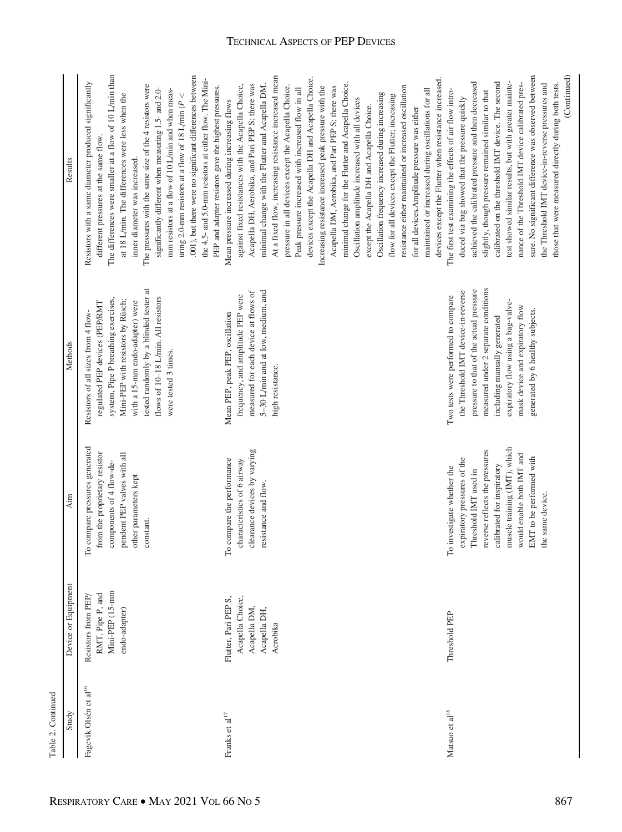| Table 2. Continued                |                                                                                      |                                                                                                                                                                                                                                                                 |                                                                                                                                                                                                                                                                                                            |                                                                                                                                                                                                                                                                                                                                                                                                                                                                                                                                                                                                                                                                                                                                                                                                                                                                                                                                                                                                                                                            |
|-----------------------------------|--------------------------------------------------------------------------------------|-----------------------------------------------------------------------------------------------------------------------------------------------------------------------------------------------------------------------------------------------------------------|------------------------------------------------------------------------------------------------------------------------------------------------------------------------------------------------------------------------------------------------------------------------------------------------------------|------------------------------------------------------------------------------------------------------------------------------------------------------------------------------------------------------------------------------------------------------------------------------------------------------------------------------------------------------------------------------------------------------------------------------------------------------------------------------------------------------------------------------------------------------------------------------------------------------------------------------------------------------------------------------------------------------------------------------------------------------------------------------------------------------------------------------------------------------------------------------------------------------------------------------------------------------------------------------------------------------------------------------------------------------------|
| Study                             | Device or Equipment                                                                  | Aim                                                                                                                                                                                                                                                             | Methods                                                                                                                                                                                                                                                                                                    | Results                                                                                                                                                                                                                                                                                                                                                                                                                                                                                                                                                                                                                                                                                                                                                                                                                                                                                                                                                                                                                                                    |
| Fagevik Olsén et al <sup>16</sup> | Mini-PEP (15-mm<br>RMT, Pipe P, and<br>Resistors from PEP<br>endo-adapter)           | To compare pressures generated<br>from the proprietary resistor<br>pendent PEP valves with all<br>components of 4 flow-de-<br>other parameters kept<br>constant.                                                                                                | tested randomly by a blinded tester at<br>flows of 10-18 L/min. All resistors<br>system, Pipe P breathing exercises,<br>Mini-PEP with resistors by Rüsch;<br>regulated PEP devices (PEP/RMT<br>with a 15-mm endo-adapter) were<br>Resistors of all sizes from 4 flow-<br>were tested 3 times.              | The differences were smaller at a flow of 10 L/min than<br>.001), but there were no significant differences between<br>the 4.5- and 5.0-mm resistors at either flow. The Mini-<br>Resistors with a same diameter produced significantly<br>The pressures with the same size of the 4 resistors were<br>PEP and adapter resistors gave the highest pressures.<br>significantly different when measuring 1.5- and 2.0-<br>mm resistors at a flow of 10 L/min and when meas-<br>uring 2.0-mm resistors at a flow of 18 L/min ( $P <$<br>at 18 L/min. The differences were less when the<br>different pressures at the same flow.<br>inner diameter was increased.                                                                                                                                                                                                                                                                                                                                                                                             |
| Franks et al $^{17}$              | Acapella Choice,<br>Flutter, Pari PEP S,<br>Acapella DM,<br>Acapella DH,<br>Aerobika | clearance devices by varying<br>To compare the performance<br>characteristics of 6 airway<br>resistance and flow.                                                                                                                                               | 5-30 L/min and at low, medium, and<br>measured for each device at flows of<br>frequency, and amplitude PEP were<br>Mean PEP, peak PEP, oscillation<br>high resistance.                                                                                                                                     | At a fixed flow, increasing resistance increased mean<br>devices except the Acapella DH and Acapella Choice.<br>devices except the Flutter when resistance increased.<br>minimal change for the Flutter and Acapella Choice.<br>Acapella DH, Aerobika, and Pari PEP S; there was<br>minimal change with the Flutter and Acapella DM.<br>pressure in all devices except the Acapella Choice.<br>against fixed resistances with the Acapella Choice,<br>Increasing resistance increased peak pressure with the<br>Acapella DM, Aerobika, and Pari PEP S; there was<br>resistance either maintained or increased oscillation<br>Peak pressure increased with increased flow in all<br>maintained or increased during oscillations for all<br>Oscillation frequency increased during increasing<br>flow for all devices except the Flutter; increasing<br>Oscillation amplitude increased with all devices<br>Mean pressure increased during increasing flows<br>except the Acapella DH and Acapella Choice.<br>for all devices. Amplitude pressure was either |
| Matsuo et al $^{18}$              | Threshold PEP                                                                        | muscle training (IMT), which<br>reverse reflects the pressures<br>would enable both IMT and<br>EMT to be performed with<br>expiratory pressures of the<br>calibrated for inspiratory<br>To investigate whether the<br>Threshold IMT used in<br>the same device. | measured under 2 separate conditions<br>pressure to that of the actual pressure<br>the Threshold IMT device-in-reverse<br>Two tests were performed to compare<br>expiratory flow using a bag-valve-<br>mask device and expiratory flow<br>generated by 6 healthy subjects.<br>including manually generated | sure. No significant difference was observed between<br>(Continued)<br>calibrated on the threshold IMT device. The second<br>achieved the calibrated pressure and then decreased<br>test showed similar results, but with greater mainte-<br>nance of the Threshold IMT device calibrated pres-<br>the Threshold IMT device-in-reverse pressures and<br>those that were measured directly during both tests.<br>slightly, though pressure remained similar to that<br>The first test examining the effects of air flow intro-<br>duced via bag showed that the pressure quickly                                                                                                                                                                                                                                                                                                                                                                                                                                                                            |

### TECHNICAL ASPECTS OF PEP DEVICES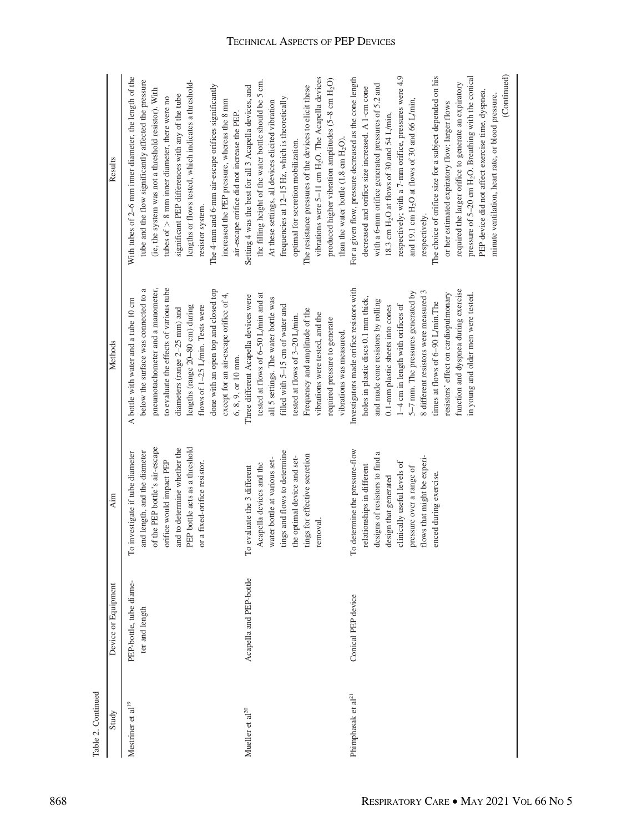| Table 2. Continued             |                                           |                                                                                                                                                                                                                                            |                                                                                                                                                                                                                                                                                                                                                                                                                                            |                                                                                                                                                                                                                                                                                                                                                                                                                                                                                                                                                                                                                                                                                                                                |
|--------------------------------|-------------------------------------------|--------------------------------------------------------------------------------------------------------------------------------------------------------------------------------------------------------------------------------------------|--------------------------------------------------------------------------------------------------------------------------------------------------------------------------------------------------------------------------------------------------------------------------------------------------------------------------------------------------------------------------------------------------------------------------------------------|--------------------------------------------------------------------------------------------------------------------------------------------------------------------------------------------------------------------------------------------------------------------------------------------------------------------------------------------------------------------------------------------------------------------------------------------------------------------------------------------------------------------------------------------------------------------------------------------------------------------------------------------------------------------------------------------------------------------------------|
| Study                          | Device or Equipment                       | Aim                                                                                                                                                                                                                                        | Methods                                                                                                                                                                                                                                                                                                                                                                                                                                    | Results                                                                                                                                                                                                                                                                                                                                                                                                                                                                                                                                                                                                                                                                                                                        |
| Mestriner et al <sup>19</sup>  | PEP-bottle, tube diame-<br>ter and length | of the PEP bottle's air-escape<br>PEP bottle acts as a threshold<br>and to determine whether the<br>investigate if tube diameter<br>and length, and the diameter<br>orifice would impact PEP<br>or a fixed-orifice resistor.<br>$\Gamma$ o | pneumotachometer and a manometer,<br>to evaluate the effects of various tube<br>done with an open top and closed top<br>below the surface was connected to a<br>except for an air-escape orifice of 4,<br>A bottle with water and a tube 10 cm<br>flows of 1-25 L/min. Tests were<br>lengths (range 20-80 cm) during<br>diameters (range $2-25$ mm) and<br>$6, 8, 9,$ or 10 mm.                                                            | With tubes of 2–6 mm inner diameter, the length of the<br>tube and the flow significantly affected the pressure<br>lengths or flows tested, which indicates a threshold-<br>The 4-mm and 6-mm air-escape orifices significantly<br>(ie, the system was not a threshold resistor). With<br>significant PEP differences with any of the tube<br>tubes of $> 8$ mm inner diameter, there were no<br>increased the PEP pressure, whereas the 8 mm<br>air-escape orifice did not increase the PEP.<br>resistor system.                                                                                                                                                                                                              |
| Mueller et al <sup>20</sup>    | Acapella and PEP-bottle                   | tings and flows to determine<br>ings for effective secretion<br>the optimal device and set-<br>water bottle at various set-<br>Acapella devices and the<br>evaluate the 3 different<br>emoval.<br>$\Gamma\text{o}$                         | tested at flows of 6-50 L/min and at<br>Three different Acapella devices were<br>all 5 settings. The water bottle was<br>filled with 5-15 cm of water and<br>Frequency and amplitude of the<br>vibrations were tested, and the<br>tested at flows of 3-20 L/min.<br>required pressure to generate<br>vibrations was measured.                                                                                                              | vibrations were 5-11 cm H <sub>2</sub> O. The Acapella devices<br>produced higher vibration amplitudes (5-8 cm H <sub>2</sub> O)<br>the filling height of the water bottle should be 5 cm.<br>The resistance pressures of the devices to elicit these<br>Setting 4 was the best for all 3 Acapella devices, and<br>frequencies at 12-15 Hz, which is theoretically<br>At these settings, all devices elicited vibration<br>than the water bottle $(1.8 \text{ cm H}_2\text{O})$<br>optimal for secretion mobilization.                                                                                                                                                                                                         |
| Phimphasak et al <sup>21</sup> | Conical PEP device                        | To determine the pressure-flow<br>designs of resistors to find a<br>lows that might be experi-<br>clinically useful levels of<br>relationships in different<br>pressure over a range of<br>meed during exercise<br>design that generated   | Investigators made orifice resistors with<br>function and dyspnea during exercise<br>8 different resistors were measured 3<br>5-7 mm. The pressures generated by<br>resistors' effect on cardiopulmonary<br>in young and older men were tested.<br>holes in plastic discs 0.1 mm thick,<br>and made cone resistors by rolling<br>times at flows of 6-90 L/min.The<br>1-4 cm in length with orifices of<br>0.1-mm plastic sheets into cones | (Continued)<br>respectively; with a 7-mm orifice, pressures were 4.9<br>pressure of $5-20$ cm H <sub>2</sub> O. Breathing with the conical<br>The choice of orifice size for a subject depended on his<br>For a given flow, pressure decreased as the cone length<br>required the larger orifice to generate an expiratory<br>with a 6-mm orifice generated pressures of 5.2 and<br>decreased and orifice size increased. A 1-cm cone<br>PEP device did not affect exercise time, dyspnea,<br>minute ventilation, heart rate, or blood pressure.<br>and 19.1 cm H <sub>2</sub> O at flows of 30 and 66 L/min<br>or her estimated expiratory flow; larger flows<br>18.3 cm $H_2O$ at flows of 30 and 54 L/min,<br>respectively. |

## TECHNICAL ASPECTS OF PEP DEVICES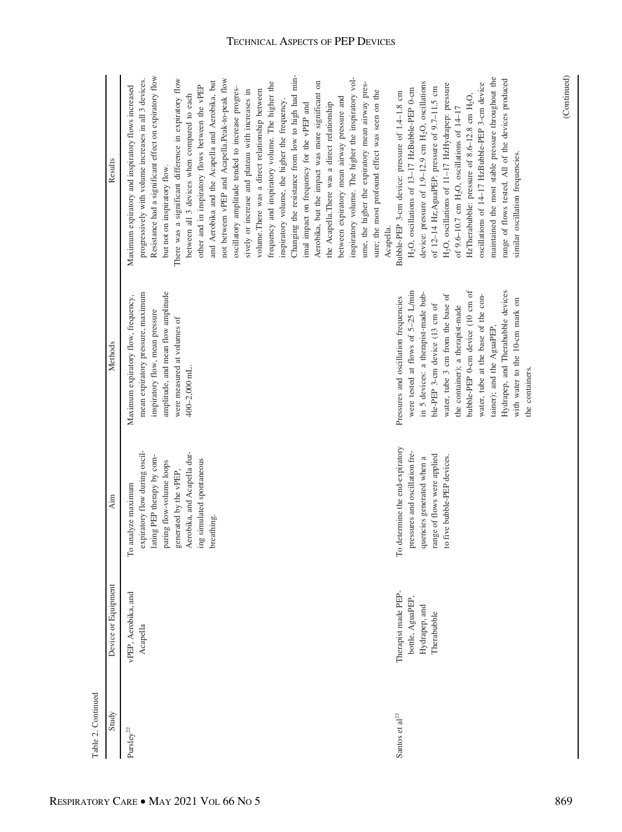| Table 2. Continued      |                                                                         |                                                                                                                                                                                                                                   |                                                                                                                                                                                                                                                                                                                                                                                                                                |                                                                                                                                                                                                                                                                                                                                                                                                                                                                                                                                                                                                                                                                                                                                                                                                                                                                                                                                                                                                                                                                                                                                                                        |
|-------------------------|-------------------------------------------------------------------------|-----------------------------------------------------------------------------------------------------------------------------------------------------------------------------------------------------------------------------------|--------------------------------------------------------------------------------------------------------------------------------------------------------------------------------------------------------------------------------------------------------------------------------------------------------------------------------------------------------------------------------------------------------------------------------|------------------------------------------------------------------------------------------------------------------------------------------------------------------------------------------------------------------------------------------------------------------------------------------------------------------------------------------------------------------------------------------------------------------------------------------------------------------------------------------------------------------------------------------------------------------------------------------------------------------------------------------------------------------------------------------------------------------------------------------------------------------------------------------------------------------------------------------------------------------------------------------------------------------------------------------------------------------------------------------------------------------------------------------------------------------------------------------------------------------------------------------------------------------------|
| Study                   | Device or Equipment                                                     | Aim                                                                                                                                                                                                                               | Methods                                                                                                                                                                                                                                                                                                                                                                                                                        | Results                                                                                                                                                                                                                                                                                                                                                                                                                                                                                                                                                                                                                                                                                                                                                                                                                                                                                                                                                                                                                                                                                                                                                                |
| $\mathrm{Pursley}^{22}$ | vPEP, Aerobika, and<br>Acapella                                         | expiratory flow during oscil-<br>Aerobika, and Acapella dur-<br>lating PEP therapy by com-<br>ing simulated spontaneous<br>paring flow-volume loops<br>generated by the vPEP<br>analyze maximum<br><b>breathing</b><br>$\Gamma$ o | amplitude, and mean flow amplitude<br>mean expiratory pressure, maximum<br>Maximum expiratory flow, frequency,<br>inspiratory flow, mean pressure<br>were measured at volumes of<br>$400 - 2,000$ mL.                                                                                                                                                                                                                          | Changing the resistance from low to high had min-<br>Resistance had a significant effect on expiratory flow<br>inspiratory volume. The higher the inspiratory vol-<br>progressively with volume increases in all 3 devices.<br>not between vPEP and Acapella.Peak-to-peak flow<br>There was a significant difference in expiratory flow<br>and Aerobika and the Acapella and Aerobika, but<br>frequency and inspiratory volume. The higher the<br>Aerobika, but the impact was more significant on<br>ume, the higher the expiratory mean airway pres-<br>Maximum expiratory and inspiratory flows increased<br>other and in inspiratory flows between the vPEP<br>oscillatory amplitude tended to increase progres-<br>volume. There was a direct relationship between<br>sively or increase and plateau with increases in<br>sure; the most profound effect was seen on the<br>between all 3 devices when compared to each<br>between expiratory mean airway pressure and<br>inspiratory volume, the higher the frequency.<br>the Acapella.There was a direct relationship<br>imal impact on frequency for the vPEP and<br>but not on inspiratory flow.<br>Acapella. |
| Santos et al $^{23}$    | Therapist made PEP-<br>bottle, AguaPEP,<br>Hydrapep, and<br>Therabubble | To determine the end-expiratory<br>pressures and oscillation fre-<br>range of flows were applied<br>quencies generated when a<br>to five bubble-PEP devices.                                                                      | bubble-PEP 0-cm device (10 cm of<br>Hydrapep, and Therabubble devices<br>were tested at flows of 5-25 L/min<br>in 5 devices: a therapist-made bub-<br>water, tube 3 cm from the base of<br>water, tube at the base of the con-<br>Pressures and oscillation frequencies<br>with water to the 10-cm mark on<br>ble-PEP 3-cm device (13 cm of<br>the container); a therapist-made<br>tainer); and the AguaPEP<br>the containers. | maintained the most stable pressure throughout the<br>range of flows tested. All of the devices produced<br>device: pressure of 1.9-12.9 cm H <sub>2</sub> O, oscillations<br>oscillations of 14-17 HzBubble-PEP 3-cm device<br>H <sub>2</sub> O, oscillations of 11-17 HzHydrapep: pressure<br>of 12-14 Hz;AguaPEP: pressure of 9.7-11.5 cm<br>H <sub>2</sub> O, oscillations of 13-17 HzBubble-PEP 0-cm<br>Bubble-PEP 3-cm device: pressure of 1.4-1.8 cm<br>HzTherabubble: pressure of 8.6-12.8 cm H <sub>2</sub> O,<br>of $9.6 - 10.7$ cm H <sub>2</sub> O, oscillations of $14 - 17$<br>similar oscillation frequencies.                                                                                                                                                                                                                                                                                                                                                                                                                                                                                                                                          |

RESPIRATORY CARE  $\bullet$  May 2021 Vol 66 No 5 869

(Continued)

 $(Continued)$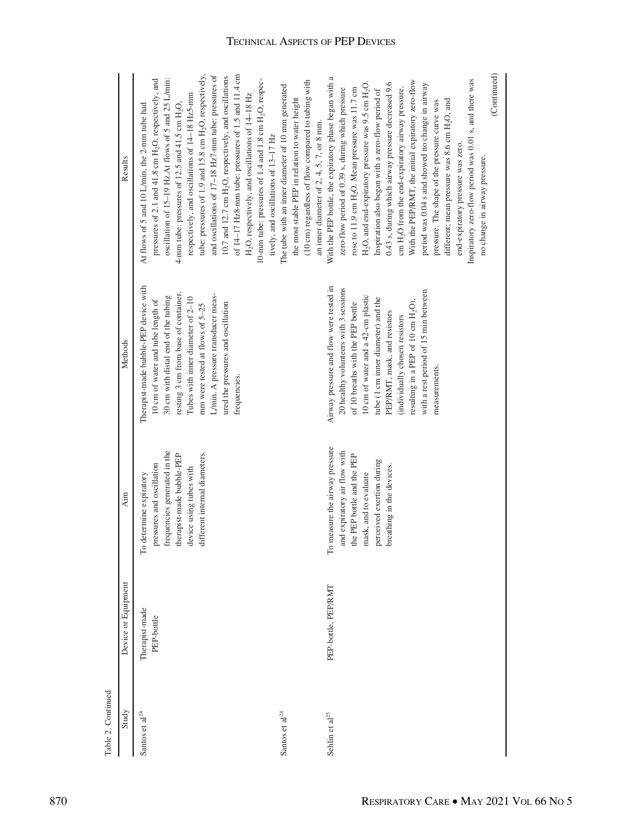|                    | Results             | tube: pressures of 1.9 and 15.8 cm H <sub>2</sub> O, respectively,<br>of 14-17 Hz8-mm tube: pressures of 1.5 and 11.4 cm<br>and oscillations of 17-18 Hz7-mm tube: pressures of<br>10.7 and 12.7 cm H <sub>2</sub> O, respectively, and oscillations<br>oscillation of 15-19 Hz.At flows of 5 and 25 L/min:<br>pressures of 2.1 and 41.8 cm H <sub>2</sub> O, respectively, and<br>10-mm tube: pressures of 1.4 and 1.8 cm H <sub>2</sub> O, respec-<br>respectively, and oscillations of 14-18 Hz5-mm<br>H <sub>2</sub> O, respectively, and oscillations of 14-18 Hz<br>4-mm tube: pressures of 12.5 and 41.5 cm $H_2O$ ,<br>At flows of 5 and 10 L/min, the 2-mm tube had<br>tively, and oscillations of 13-17 Hz | (10 cm) regardless of flow compared to tubing with<br>The tube with an inner diameter of 10 mm generated<br>the most stable PEP in relation to water height<br>an inner diameter of $2, 4, 5, 7$ , or 8 mm. | (Continued)<br>With the PEP bottle, the expiratory phase began with a<br>Inspiratory zero-flow period was 0.01 s, and there was<br>With the PEP/RMT, the initial expiratory zero-flow<br>$H_2O$ , and end-expiratory pressure was 9.5 cm $H_2O$ .<br>0.43 s, during which airway pressure decreased 9.6<br>period was 0.04 s and showed no change in airway<br>cm H <sub>2</sub> O from the end-expiratory airway pressure.<br>zero-flow period of 0.39 s, during which pressure<br>rose to 11.9 cm H <sub>2</sub> O. Mean pressure was 11.7 cm<br>Inspiration also began with a zero-flow period of<br>different; mean pressure was 8.6 cm H <sub>2</sub> O, and<br>pressure. The shape of the pressure curve was<br>end-expiratory pressure was zero. |
|--------------------|---------------------|----------------------------------------------------------------------------------------------------------------------------------------------------------------------------------------------------------------------------------------------------------------------------------------------------------------------------------------------------------------------------------------------------------------------------------------------------------------------------------------------------------------------------------------------------------------------------------------------------------------------------------------------------------------------------------------------------------------------|-------------------------------------------------------------------------------------------------------------------------------------------------------------------------------------------------------------|---------------------------------------------------------------------------------------------------------------------------------------------------------------------------------------------------------------------------------------------------------------------------------------------------------------------------------------------------------------------------------------------------------------------------------------------------------------------------------------------------------------------------------------------------------------------------------------------------------------------------------------------------------------------------------------------------------------------------------------------------------|
|                    |                     |                                                                                                                                                                                                                                                                                                                                                                                                                                                                                                                                                                                                                                                                                                                      |                                                                                                                                                                                                             | no change in airway pressure.                                                                                                                                                                                                                                                                                                                                                                                                                                                                                                                                                                                                                                                                                                                           |
|                    | Methods             | Therapist-made bubble-PEP device with<br>resting 3 cm from base of container.<br>L/min. A pressure transducer meas-<br>30 cm with distal end of the tubing<br>Tubes with inner diameter of 2-10<br>10 cm of water and tube length of<br>ured the pressures and oscillation<br>mm were tested at flows of 5-25<br>frequencies.                                                                                                                                                                                                                                                                                                                                                                                        |                                                                                                                                                                                                             | Airway pressure and flow were tested in<br>20 healthy volunteers with 3 sessions<br>with a rest period of 15 min between<br>10 cm of water and a 42-cm plastic<br>tube (1 cm inner diameter) and the<br>resulting in a PEP of 10 cm H <sub>2</sub> O),<br>of 10 breaths with the PEP bottle<br>PEP/RMT, mask, and resistors<br>(individually chosen resistors<br>measurements                                                                                                                                                                                                                                                                                                                                                                           |
|                    | Aim                 | frequencies generated in the<br>different internal diameters.<br>therapist-made bubble-PEP<br>pressures and oscillation<br>device using tubes with<br>To determine expiratory                                                                                                                                                                                                                                                                                                                                                                                                                                                                                                                                        |                                                                                                                                                                                                             | To measure the airway pressure<br>and expiratory air flow with<br>the PEP bottle and the PEP<br>perceived exertion during<br>breathing in the devices<br>mask, and to evaluate                                                                                                                                                                                                                                                                                                                                                                                                                                                                                                                                                                          |
|                    | Device or Equipment | Therapist-made<br>PEP-bottle                                                                                                                                                                                                                                                                                                                                                                                                                                                                                                                                                                                                                                                                                         |                                                                                                                                                                                                             | PEP-bottle, PEP/RMT                                                                                                                                                                                                                                                                                                                                                                                                                                                                                                                                                                                                                                                                                                                                     |
| Table 2. Continued | Study               | Santos et al $^{24}$                                                                                                                                                                                                                                                                                                                                                                                                                                                                                                                                                                                                                                                                                                 | Santos et al <sup>24</sup>                                                                                                                                                                                  | Sehlin et al <sup>25</sup>                                                                                                                                                                                                                                                                                                                                                                                                                                                                                                                                                                                                                                                                                                                              |

### TECHNICAL ASPECTS OF PEP DEVICES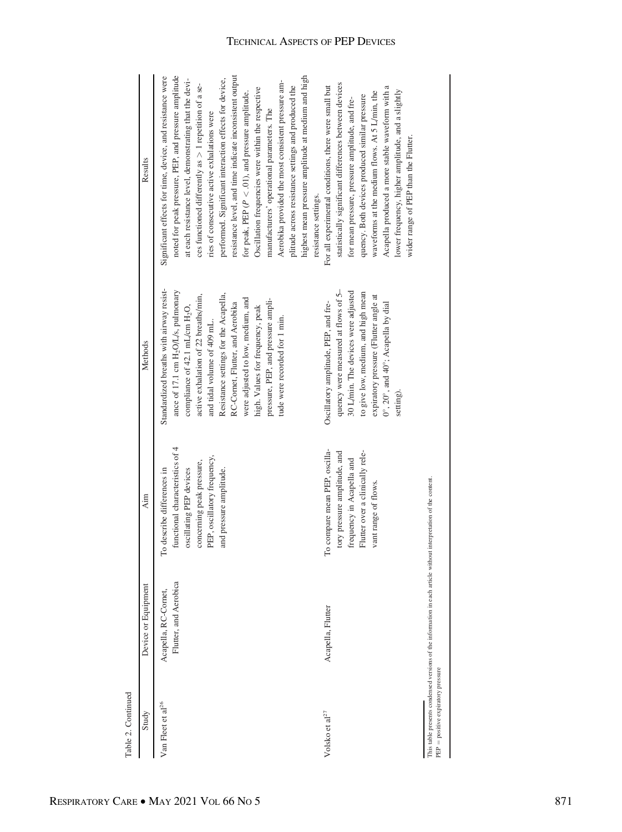| Table 2. Continued                 |                                                                                   |                                                                                                                                                                                 |                                                                                                                                                                                                                                                                                                                                                                                                                                               |                                                                                                                                                                                                                                                                                                                                                                                                                                                                                                                                                                                                                                                                                                                                         |
|------------------------------------|-----------------------------------------------------------------------------------|---------------------------------------------------------------------------------------------------------------------------------------------------------------------------------|-----------------------------------------------------------------------------------------------------------------------------------------------------------------------------------------------------------------------------------------------------------------------------------------------------------------------------------------------------------------------------------------------------------------------------------------------|-----------------------------------------------------------------------------------------------------------------------------------------------------------------------------------------------------------------------------------------------------------------------------------------------------------------------------------------------------------------------------------------------------------------------------------------------------------------------------------------------------------------------------------------------------------------------------------------------------------------------------------------------------------------------------------------------------------------------------------------|
| Study                              | Device or Equipment                                                               | Aim                                                                                                                                                                             | Methods                                                                                                                                                                                                                                                                                                                                                                                                                                       | Results                                                                                                                                                                                                                                                                                                                                                                                                                                                                                                                                                                                                                                                                                                                                 |
| Van Fleet et al <sup>26</sup>      | Flutter, and Aerobica<br>Acapella, RC-Cornet,                                     | functional characteristics of 4<br>PEP, oscillatory frequency,<br>concerning peak pressure,<br>and pressure amplitude.<br>oscillating PEP devices<br>To describe differences in | Standardized breaths with airway resist-<br>ance of 17.1 cm H <sub>2</sub> O/L/s, pulmonary<br>Resistance settings for the Acapella,<br>active exhalation of 22 breaths/min,<br>were adjusted to low, medium, and<br>pressure, PEP, and pressure ampli-<br>RC-Cornet, Flutter, and Aerobika<br>compliance of 42.1 mL/cm H <sub>2</sub> O,<br>high. Values for frequency, peak<br>tude were recorded for 1 min.<br>and tidal volume of 409 mL. | noted for peak pressure, PEP, and pressure amplitude<br>highest mean pressure amplitude at medium and high<br>resistance level, and time indicate inconsistent output<br>Significant effects for time, device, and resistance were<br>at each resistance level, demonstrating that the devi-<br>performed. Significant interaction effects for device,<br>Aerobika provided the most consistent pressure am-<br>ces functioned differently as > 1 repetition of a se-<br>plitude across resistance settings and produced the<br>Oscillation frequencies were within the respective<br>for peak, PEP ( $P < .01$ ), and pressure amplitude.<br>manufacturers' operational parameters. The<br>ries of consecutive active exhalations were |
| Volsko et al<br>$2^7\,$            | Acapella, Flutter                                                                 | 'o compare mean PEP, oscilla-<br>Flutter over a clinically rele-<br>tory pressure amplitude, and<br>frequency in Acapella and<br>vant range of flows.<br>⊢                      | quency were measured at flows of 5-<br>30 L/min. The devices were adjusted<br>to give low, medium, and high mean<br>expiratory pressure (Flutter angle at<br>Oscillatory amplitude, PEP, and fre-<br>$0^\circ$ , $20^\circ$ , and $40^\circ$ ; Acapella by dial<br>setting).                                                                                                                                                                  | statistically significant differences between devices<br>For all experimental conditions, there were small but<br>Acapella produced a more stable waveform with a<br>lower frequency, higher amplitude, and a slightly<br>waveforms at the medium flows. At 5 L/min, the<br>quency. Both devices produced similar pressure<br>for mean pressure, pressure amplitude, and fre-<br>wider range of PEP than the Flutter.<br>resistance settings.                                                                                                                                                                                                                                                                                           |
| PEP = positive expiratory pressure | This table presents condensed versions of the information in each article without | interpretation of the content.                                                                                                                                                  |                                                                                                                                                                                                                                                                                                                                                                                                                                               |                                                                                                                                                                                                                                                                                                                                                                                                                                                                                                                                                                                                                                                                                                                                         |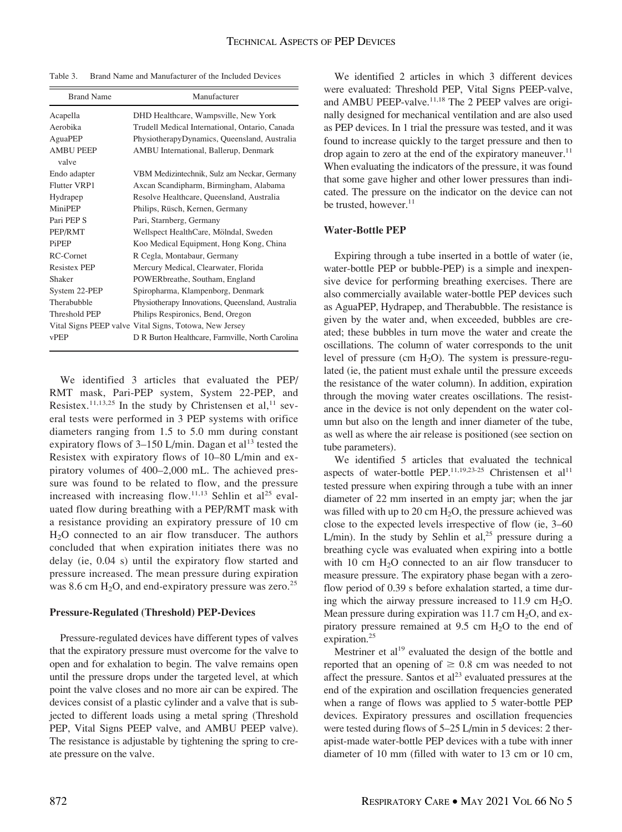Table 3. Brand Name and Manufacturer of the Included Devices

| <b>Brand Name</b>   | Manufacturer                                           |
|---------------------|--------------------------------------------------------|
| Acapella            | DHD Healthcare, Wampsville, New York                   |
| Aerobika            | Trudell Medical International, Ontario, Canada         |
| AguaPEP             | PhysiotherapyDynamics, Queensland, Australia           |
| <b>AMBU PEEP</b>    | AMBU International, Ballerup, Denmark                  |
| valve               |                                                        |
| Endo adapter        | VBM Medizintechnik, Sulz am Neckar, Germany            |
| <b>Flutter VRP1</b> | Axcan Scandipharm, Birmingham, Alabama                 |
| Hydrapep            | Resolve Healthcare, Queensland, Australia              |
| MiniPEP             | Philips, Rüsch, Kernen, Germany                        |
| Pari PEP S          | Pari, Starnberg, Germany                               |
| PEP/RMT             | Wellspect HealthCare, Mölndal, Sweden                  |
| PiPEP               | Koo Medical Equipment, Hong Kong, China                |
| RC-Cornet           | R Cegla, Montabaur, Germany                            |
| <b>Resistex PEP</b> | Mercury Medical, Clearwater, Florida                   |
| Shaker              | POWERbreathe, Southam, England                         |
| System 22-PEP       | Spiropharma, Klampenborg, Denmark                      |
| Therabubble         | Physiotherapy Innovations, Queensland, Australia       |
| Threshold PEP       | Philips Respironics, Bend, Oregon                      |
|                     | Vital Signs PEEP valve Vital Signs, Totowa, New Jersey |
| vPEP                | D R Burton Healthcare, Farmville, North Carolina       |

We identified 3 articles that evaluated the PEP/ RMT mask, Pari-PEP system, System 22-PEP, and Resistex.<sup>11,13,25</sup> In the study by Christensen et al,<sup>11</sup> several tests were performed in 3 PEP systems with orifice diameters ranging from 1.5 to 5.0 mm during constant expiratory flows of  $3-150$  L/min. Dagan et al<sup>13</sup> tested the Resistex with expiratory flows of 10–80 L/min and expiratory volumes of 400–2,000 mL. The achieved pressure was found to be related to flow, and the pressure increased with increasing flow.<sup>11,13</sup> Sehlin et al<sup>25</sup> evaluated flow during breathing with a PEP/RMT mask with a resistance providing an expiratory pressure of 10 cm H<sub>2</sub>O connected to an air flow transducer. The authors concluded that when expiration initiates there was no delay (ie, 0.04 s) until the expiratory flow started and pressure increased. The mean pressure during expiration was 8.6 cm  $H_2O$ , and end-expiratory pressure was zero.<sup>25</sup>

#### Pressure-Regulated (Threshold) PEP-Devices

Pressure-regulated devices have different types of valves that the expiratory pressure must overcome for the valve to open and for exhalation to begin. The valve remains open until the pressure drops under the targeted level, at which point the valve closes and no more air can be expired. The devices consist of a plastic cylinder and a valve that is subjected to different loads using a metal spring (Threshold PEP, Vital Signs PEEP valve, and AMBU PEEP valve). The resistance is adjustable by tightening the spring to create pressure on the valve.

We identified 2 articles in which 3 different devices were evaluated: Threshold PEP, Vital Signs PEEP-valve, and AMBU PEEP-valve.<sup>11,18</sup> The 2 PEEP valves are originally designed for mechanical ventilation and are also used as PEP devices. In 1 trial the pressure was tested, and it was found to increase quickly to the target pressure and then to drop again to zero at the end of the expiratory maneuver. $^{11}$ When evaluating the indicators of the pressure, it was found that some gave higher and other lower pressures than indicated. The pressure on the indicator on the device can not be trusted, however. $11$ 

#### Water-Bottle PEP

Expiring through a tube inserted in a bottle of water (ie, water-bottle PEP or bubble-PEP) is a simple and inexpensive device for performing breathing exercises. There are also commercially available water-bottle PEP devices such as AguaPEP, Hydrapep, and Therabubble. The resistance is given by the water and, when exceeded, bubbles are created; these bubbles in turn move the water and create the oscillations. The column of water corresponds to the unit level of pressure (cm  $H_2O$ ). The system is pressure-regulated (ie, the patient must exhale until the pressure exceeds the resistance of the water column). In addition, expiration through the moving water creates oscillations. The resistance in the device is not only dependent on the water column but also on the length and inner diameter of the tube, as well as where the air release is positioned (see section on tube parameters).

We identified 5 articles that evaluated the technical aspects of water-bottle PEP.<sup>11,19,23-25</sup> Christensen et al<sup>11</sup> tested pressure when expiring through a tube with an inner diameter of 22 mm inserted in an empty jar; when the jar was filled with up to 20 cm  $H<sub>2</sub>O$ , the pressure achieved was close to the expected levels irrespective of flow (ie, 3–60 L/min). In the study by Sehlin et al,<sup>25</sup> pressure during a breathing cycle was evaluated when expiring into a bottle with 10 cm  $H<sub>2</sub>O$  connected to an air flow transducer to measure pressure. The expiratory phase began with a zeroflow period of 0.39 s before exhalation started, a time during which the airway pressure increased to  $11.9 \text{ cm H}_2\text{O}$ . Mean pressure during expiration was  $11.7 \text{ cm H}_2\text{O}$ , and expiratory pressure remained at  $9.5 \text{ cm } H_2\text{O}$  to the end of expiration.<sup>25</sup>

Mestriner et al $^{19}$  evaluated the design of the bottle and reported that an opening of  $\geq 0.8$  cm was needed to not affect the pressure. Santos et  $al<sup>23</sup>$  evaluated pressures at the end of the expiration and oscillation frequencies generated when a range of flows was applied to 5 water-bottle PEP devices. Expiratory pressures and oscillation frequencies were tested during flows of 5–25 L/min in 5 devices: 2 therapist-made water-bottle PEP devices with a tube with inner diameter of 10 mm (filled with water to 13 cm or 10 cm,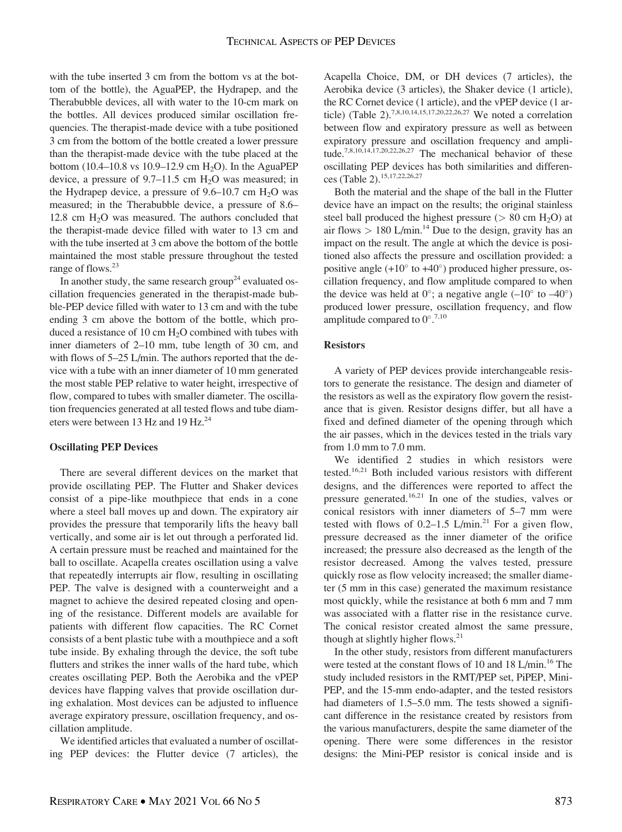with the tube inserted 3 cm from the bottom vs at the bottom of the bottle), the AguaPEP, the Hydrapep, and the Therabubble devices, all with water to the 10-cm mark on the bottles. All devices produced similar oscillation frequencies. The therapist-made device with a tube positioned 3 cm from the bottom of the bottle created a lower pressure than the therapist-made device with the tube placed at the bottom  $(10.4–10.8 \text{ vs } 10.9–12.9 \text{ cm H}_2O)$ . In the AguaPEP device, a pressure of  $9.7-11.5$  cm  $H<sub>2</sub>O$  was measured; in the Hydrapep device, a pressure of  $9.6-10.7$  cm  $H<sub>2</sub>O$  was measured; in the Therabubble device, a pressure of 8.6– 12.8 cm  $H<sub>2</sub>O$  was measured. The authors concluded that the therapist-made device filled with water to 13 cm and with the tube inserted at 3 cm above the bottom of the bottle maintained the most stable pressure throughout the tested range of flows.<sup>23</sup>

In another study, the same research group<sup>24</sup> evaluated oscillation frequencies generated in the therapist-made bubble-PEP device filled with water to 13 cm and with the tube ending 3 cm above the bottom of the bottle, which produced a resistance of 10 cm  $H_2O$  combined with tubes with inner diameters of 2–10 mm, tube length of 30 cm, and with flows of 5–25 L/min. The authors reported that the device with a tube with an inner diameter of 10 mm generated the most stable PEP relative to water height, irrespective of flow, compared to tubes with smaller diameter. The oscillation frequencies generated at all tested flows and tube diameters were between 13 Hz and 19 Hz.<sup>24</sup>

#### Oscillating PEP Devices

There are several different devices on the market that provide oscillating PEP. The Flutter and Shaker devices consist of a pipe-like mouthpiece that ends in a cone where a steel ball moves up and down. The expiratory air provides the pressure that temporarily lifts the heavy ball vertically, and some air is let out through a perforated lid. A certain pressure must be reached and maintained for the ball to oscillate. Acapella creates oscillation using a valve that repeatedly interrupts air flow, resulting in oscillating PEP. The valve is designed with a counterweight and a magnet to achieve the desired repeated closing and opening of the resistance. Different models are available for patients with different flow capacities. The RC Cornet consists of a bent plastic tube with a mouthpiece and a soft tube inside. By exhaling through the device, the soft tube flutters and strikes the inner walls of the hard tube, which creates oscillating PEP. Both the Aerobika and the vPEP devices have flapping valves that provide oscillation during exhalation. Most devices can be adjusted to influence average expiratory pressure, oscillation frequency, and oscillation amplitude.

We identified articles that evaluated a number of oscillating PEP devices: the Flutter device (7 articles), the Acapella Choice, DM, or DH devices (7 articles), the Aerobika device (3 articles), the Shaker device (1 article), the RC Cornet device (1 article), and the vPEP device (1 article) (Table 2).<sup>7,8,10,14,15,17,20,22,26,27</sup> We noted a correlation between flow and expiratory pressure as well as between expiratory pressure and oscillation frequency and amplitude.7,8,10,14,17,20,22,26,27 The mechanical behavior of these oscillating PEP devices has both similarities and differences (Table 2).15,17,22,26,27

Both the material and the shape of the ball in the Flutter device have an impact on the results; the original stainless steel ball produced the highest pressure ( $> 80$  cm H<sub>2</sub>O) at air flows  $> 180$  L/min.<sup>14</sup> Due to the design, gravity has an impact on the result. The angle at which the device is positioned also affects the pressure and oscillation provided: a positive angle  $(+10^{\circ}$  to  $+40^{\circ})$  produced higher pressure, oscillation frequency, and flow amplitude compared to when the device was held at  $0^{\circ}$ ; a negative angle  $(-10^{\circ}$  to  $-40^{\circ})$ produced lower pressure, oscillation frequency, and flow amplitude compared to  $0^{\circ}$ .<sup>7,10</sup>

#### Resistors

A variety of PEP devices provide interchangeable resistors to generate the resistance. The design and diameter of the resistors as well as the expiratory flow govern the resistance that is given. Resistor designs differ, but all have a fixed and defined diameter of the opening through which the air passes, which in the devices tested in the trials vary from 1.0 mm to 7.0 mm.

We identified 2 studies in which resistors were tested.16,21 Both included various resistors with different designs, and the differences were reported to affect the pressure generated.16,21 In one of the studies, valves or conical resistors with inner diameters of 5–7 mm were tested with flows of  $0.2-1.5$  L/min.<sup>21</sup> For a given flow, pressure decreased as the inner diameter of the orifice increased; the pressure also decreased as the length of the resistor decreased. Among the valves tested, pressure quickly rose as flow velocity increased; the smaller diameter (5 mm in this case) generated the maximum resistance most quickly, while the resistance at both 6 mm and 7 mm was associated with a flatter rise in the resistance curve. The conical resistor created almost the same pressure, though at slightly higher flows. $21$ 

In the other study, resistors from different manufacturers were tested at the constant flows of 10 and 18 L/min.<sup>16</sup> The study included resistors in the RMT/PEP set, PiPEP, Mini-PEP, and the 15-mm endo-adapter, and the tested resistors had diameters of 1.5–5.0 mm. The tests showed a significant difference in the resistance created by resistors from the various manufacturers, despite the same diameter of the opening. There were some differences in the resistor designs: the Mini-PEP resistor is conical inside and is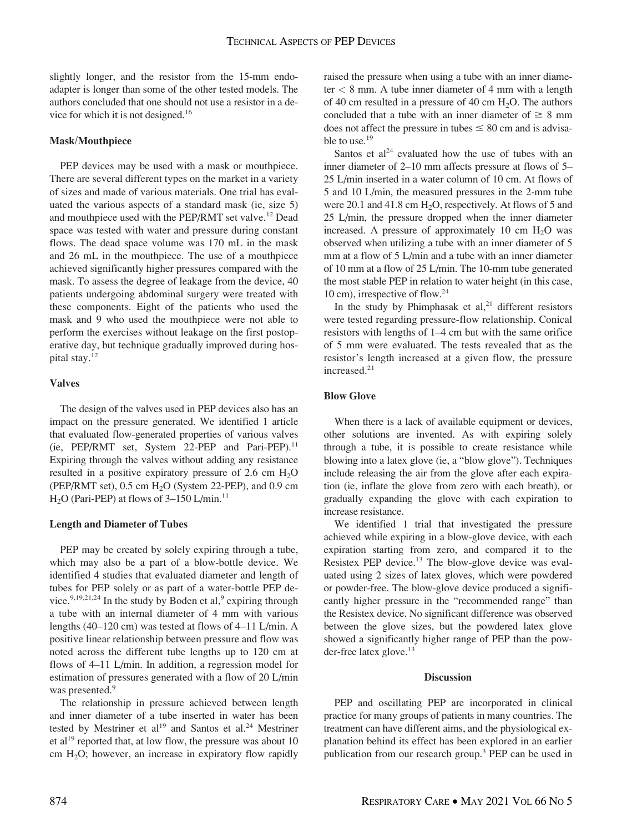slightly longer, and the resistor from the 15-mm endoadapter is longer than some of the other tested models. The authors concluded that one should not use a resistor in a device for which it is not designed.<sup>16</sup>

#### Mask/Mouthpiece

PEP devices may be used with a mask or mouthpiece. There are several different types on the market in a variety of sizes and made of various materials. One trial has evaluated the various aspects of a standard mask (ie, size 5) and mouthpiece used with the PEP/RMT set valve.<sup>12</sup> Dead space was tested with water and pressure during constant flows. The dead space volume was 170 mL in the mask and 26 mL in the mouthpiece. The use of a mouthpiece achieved significantly higher pressures compared with the mask. To assess the degree of leakage from the device, 40 patients undergoing abdominal surgery were treated with these components. Eight of the patients who used the mask and 9 who used the mouthpiece were not able to perform the exercises without leakage on the first postoperative day, but technique gradually improved during hospital stay.<sup>12</sup>

#### Valves

The design of the valves used in PEP devices also has an impact on the pressure generated. We identified 1 article that evaluated flow-generated properties of various valves (ie, PEP/RMT set, System 22-PEP and Pari-PEP).<sup>11</sup> Expiring through the valves without adding any resistance resulted in a positive expiratory pressure of 2.6 cm  $H<sub>2</sub>O$ (PEP/RMT set),  $0.5$  cm  $H<sub>2</sub>O$  (System 22-PEP), and  $0.9$  cm  $H<sub>2</sub>O$  (Pari-PEP) at flows of 3–150 L/min.<sup>11</sup>

### Length and Diameter of Tubes

PEP may be created by solely expiring through a tube, which may also be a part of a blow-bottle device. We identified 4 studies that evaluated diameter and length of tubes for PEP solely or as part of a water-bottle PEP device.<sup>9,19,21,24</sup> In the study by Boden et al,<sup>9</sup> expiring through a tube with an internal diameter of 4 mm with various lengths (40–120 cm) was tested at flows of 4–11 L/min. A positive linear relationship between pressure and flow was noted across the different tube lengths up to 120 cm at flows of 4–11 L/min. In addition, a regression model for estimation of pressures generated with a flow of 20 L/min was presented.<sup>9</sup>

The relationship in pressure achieved between length and inner diameter of a tube inserted in water has been tested by Mestriner et  $al^{19}$  and Santos et al.<sup>24</sup> Mestriner et al<sup>19</sup> reported that, at low flow, the pressure was about 10 cm  $H_2O$ ; however, an increase in expiratory flow rapidly

raised the pressure when using a tube with an inner diameter  $<$  8 mm. A tube inner diameter of 4 mm with a length of 40 cm resulted in a pressure of 40 cm  $H_2O$ . The authors concluded that a tube with an inner diameter of  $\geq 8$  mm does not affect the pressure in tubes  $\leq 80$  cm and is advisable to use.<sup>19</sup>

Santos et  $al<sup>24</sup>$  evaluated how the use of tubes with an inner diameter of 2–10 mm affects pressure at flows of 5– 25 L/min inserted in a water column of 10 cm. At flows of 5 and 10 L/min, the measured pressures in the 2-mm tube were 20.1 and 41.8 cm  $H_2O$ , respectively. At flows of 5 and 25 L/min, the pressure dropped when the inner diameter increased. A pressure of approximately  $10 \text{ cm } H_2O$  was observed when utilizing a tube with an inner diameter of 5 mm at a flow of 5 L/min and a tube with an inner diameter of 10 mm at a flow of 25 L/min. The 10-mm tube generated the most stable PEP in relation to water height (in this case, 10 cm), irrespective of flow.24

In the study by Phimphasak et al,<sup>21</sup> different resistors were tested regarding pressure-flow relationship. Conical resistors with lengths of 1–4 cm but with the same orifice of 5 mm were evaluated. The tests revealed that as the resistor's length increased at a given flow, the pressure increased.<sup>21</sup>

### Blow Glove

When there is a lack of available equipment or devices, other solutions are invented. As with expiring solely through a tube, it is possible to create resistance while blowing into a latex glove (ie, a "blow glove"). Techniques include releasing the air from the glove after each expiration (ie, inflate the glove from zero with each breath), or gradually expanding the glove with each expiration to increase resistance.

We identified 1 trial that investigated the pressure achieved while expiring in a blow-glove device, with each expiration starting from zero, and compared it to the Resistex PEP device.<sup>13</sup> The blow-glove device was evaluated using 2 sizes of latex gloves, which were powdered or powder-free. The blow-glove device produced a significantly higher pressure in the "recommended range" than the Resistex device. No significant difference was observed between the glove sizes, but the powdered latex glove showed a significantly higher range of PEP than the powder-free latex glove.<sup>13</sup>

#### Discussion

PEP and oscillating PEP are incorporated in clinical practice for many groups of patients in many countries. The treatment can have different aims, and the physiological explanation behind its effect has been explored in an earlier publication from our research group.<sup>3</sup> PEP can be used in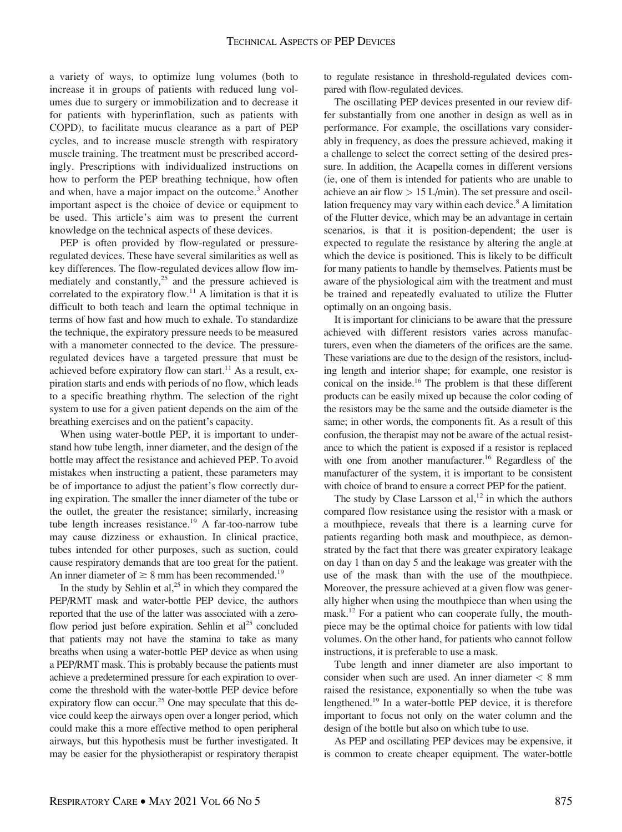a variety of ways, to optimize lung volumes (both to increase it in groups of patients with reduced lung volumes due to surgery or immobilization and to decrease it for patients with hyperinflation, such as patients with COPD), to facilitate mucus clearance as a part of PEP cycles, and to increase muscle strength with respiratory muscle training. The treatment must be prescribed accordingly. Prescriptions with individualized instructions on how to perform the PEP breathing technique, how often and when, have a major impact on the outcome.<sup>3</sup> Another important aspect is the choice of device or equipment to be used. This article's aim was to present the current knowledge on the technical aspects of these devices.

PEP is often provided by flow-regulated or pressureregulated devices. These have several similarities as well as key differences. The flow-regulated devices allow flow immediately and constantly, $^{25}$  and the pressure achieved is correlated to the expiratory flow.<sup>11</sup> A limitation is that it is difficult to both teach and learn the optimal technique in terms of how fast and how much to exhale. To standardize the technique, the expiratory pressure needs to be measured with a manometer connected to the device. The pressureregulated devices have a targeted pressure that must be achieved before expiratory flow can start.<sup>11</sup> As a result, expiration starts and ends with periods of no flow, which leads to a specific breathing rhythm. The selection of the right system to use for a given patient depends on the aim of the breathing exercises and on the patient's capacity.

When using water-bottle PEP, it is important to understand how tube length, inner diameter, and the design of the bottle may affect the resistance and achieved PEP. To avoid mistakes when instructing a patient, these parameters may be of importance to adjust the patient's flow correctly during expiration. The smaller the inner diameter of the tube or the outlet, the greater the resistance; similarly, increasing tube length increases resistance.<sup>19</sup> A far-too-narrow tube may cause dizziness or exhaustion. In clinical practice, tubes intended for other purposes, such as suction, could cause respiratory demands that are too great for the patient. An inner diameter of  $\geq 8$  mm has been recommended.<sup>19</sup>

In the study by Sehlin et  $al$ ,<sup>25</sup> in which they compared the PEP/RMT mask and water-bottle PEP device, the authors reported that the use of the latter was associated with a zeroflow period just before expiration. Sehlin et  $al^{25}$  concluded that patients may not have the stamina to take as many breaths when using a water-bottle PEP device as when using a PEP/RMT mask. This is probably because the patients must achieve a predetermined pressure for each expiration to overcome the threshold with the water-bottle PEP device before expiratory flow can occur.<sup>25</sup> One may speculate that this device could keep the airways open over a longer period, which could make this a more effective method to open peripheral airways, but this hypothesis must be further investigated. It may be easier for the physiotherapist or respiratory therapist to regulate resistance in threshold-regulated devices compared with flow-regulated devices.

The oscillating PEP devices presented in our review differ substantially from one another in design as well as in performance. For example, the oscillations vary considerably in frequency, as does the pressure achieved, making it a challenge to select the correct setting of the desired pressure. In addition, the Acapella comes in different versions (ie, one of them is intended for patients who are unable to achieve an air flow  $> 15$  L/min). The set pressure and oscillation frequency may vary within each device.8 A limitation of the Flutter device, which may be an advantage in certain scenarios, is that it is position-dependent; the user is expected to regulate the resistance by altering the angle at which the device is positioned. This is likely to be difficult for many patients to handle by themselves. Patients must be aware of the physiological aim with the treatment and must be trained and repeatedly evaluated to utilize the Flutter optimally on an ongoing basis.

It is important for clinicians to be aware that the pressure achieved with different resistors varies across manufacturers, even when the diameters of the orifices are the same. These variations are due to the design of the resistors, including length and interior shape; for example, one resistor is conical on the inside.16 The problem is that these different products can be easily mixed up because the color coding of the resistors may be the same and the outside diameter is the same; in other words, the components fit. As a result of this confusion, the therapist may not be aware of the actual resistance to which the patient is exposed if a resistor is replaced with one from another manufacturer.<sup>16</sup> Regardless of the manufacturer of the system, it is important to be consistent with choice of brand to ensure a correct PEP for the patient.

The study by Clase Larsson et al,<sup>12</sup> in which the authors compared flow resistance using the resistor with a mask or a mouthpiece, reveals that there is a learning curve for patients regarding both mask and mouthpiece, as demonstrated by the fact that there was greater expiratory leakage on day 1 than on day 5 and the leakage was greater with the use of the mask than with the use of the mouthpiece. Moreover, the pressure achieved at a given flow was generally higher when using the mouthpiece than when using the mask.<sup>12</sup> For a patient who can cooperate fully, the mouthpiece may be the optimal choice for patients with low tidal volumes. On the other hand, for patients who cannot follow instructions, it is preferable to use a mask.

Tube length and inner diameter are also important to consider when such are used. An inner diameter  $< 8$  mm raised the resistance, exponentially so when the tube was lengthened.19 In a water-bottle PEP device, it is therefore important to focus not only on the water column and the design of the bottle but also on which tube to use.

As PEP and oscillating PEP devices may be expensive, it is common to create cheaper equipment. The water-bottle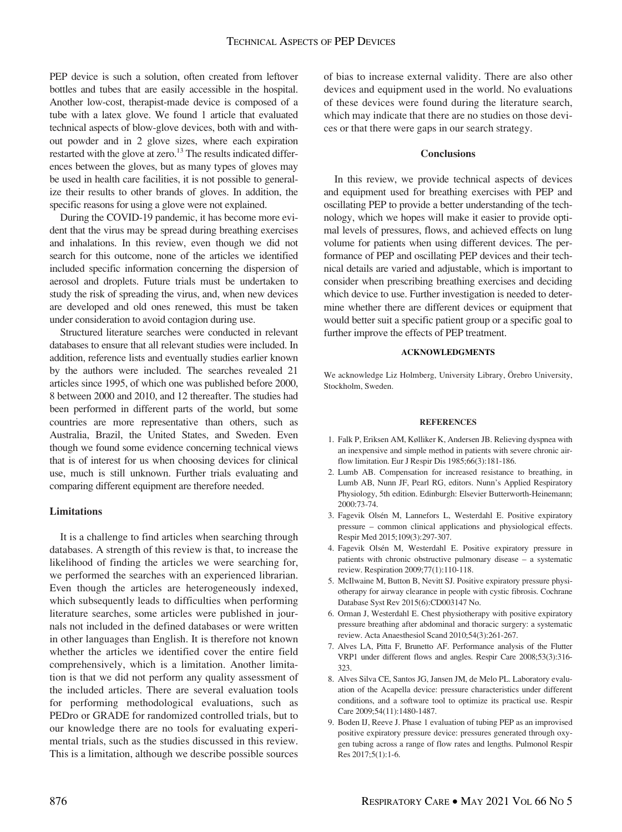PEP device is such a solution, often created from leftover bottles and tubes that are easily accessible in the hospital. Another low-cost, therapist-made device is composed of a tube with a latex glove. We found 1 article that evaluated technical aspects of blow-glove devices, both with and without powder and in 2 glove sizes, where each expiration restarted with the glove at zero.<sup>13</sup> The results indicated differences between the gloves, but as many types of gloves may be used in health care facilities, it is not possible to generalize their results to other brands of gloves. In addition, the specific reasons for using a glove were not explained.

During the COVID-19 pandemic, it has become more evident that the virus may be spread during breathing exercises and inhalations. In this review, even though we did not search for this outcome, none of the articles we identified included specific information concerning the dispersion of aerosol and droplets. Future trials must be undertaken to study the risk of spreading the virus, and, when new devices are developed and old ones renewed, this must be taken under consideration to avoid contagion during use.

Structured literature searches were conducted in relevant databases to ensure that all relevant studies were included. In addition, reference lists and eventually studies earlier known by the authors were included. The searches revealed 21 articles since 1995, of which one was published before 2000, 8 between 2000 and 2010, and 12 thereafter. The studies had been performed in different parts of the world, but some countries are more representative than others, such as Australia, Brazil, the United States, and Sweden. Even though we found some evidence concerning technical views that is of interest for us when choosing devices for clinical use, much is still unknown. Further trials evaluating and comparing different equipment are therefore needed.

#### Limitations

It is a challenge to find articles when searching through databases. A strength of this review is that, to increase the likelihood of finding the articles we were searching for, we performed the searches with an experienced librarian. Even though the articles are heterogeneously indexed, which subsequently leads to difficulties when performing literature searches, some articles were published in journals not included in the defined databases or were written in other languages than English. It is therefore not known whether the articles we identified cover the entire field comprehensively, which is a limitation. Another limitation is that we did not perform any quality assessment of the included articles. There are several evaluation tools for performing methodological evaluations, such as PEDro or GRADE for randomized controlled trials, but to our knowledge there are no tools for evaluating experimental trials, such as the studies discussed in this review. This is a limitation, although we describe possible sources

of bias to increase external validity. There are also other devices and equipment used in the world. No evaluations of these devices were found during the literature search, which may indicate that there are no studies on those devices or that there were gaps in our search strategy.

#### **Conclusions**

In this review, we provide technical aspects of devices and equipment used for breathing exercises with PEP and oscillating PEP to provide a better understanding of the technology, which we hopes will make it easier to provide optimal levels of pressures, flows, and achieved effects on lung volume for patients when using different devices. The performance of PEP and oscillating PEP devices and their technical details are varied and adjustable, which is important to consider when prescribing breathing exercises and deciding which device to use. Further investigation is needed to determine whether there are different devices or equipment that would better suit a specific patient group or a specific goal to further improve the effects of PEP treatment.

#### ACKNOWLEDGMENTS

We acknowledge Liz Holmberg, University Library, Örebro University, Stockholm, Sweden.

#### **REFERENCES**

- 1. Falk P, Eriksen AM, Kølliker K, Andersen JB. Relieving dyspnea with an inexpensive and simple method in patients with severe chronic airflow limitation. Eur J Respir Dis 1985;66(3):181-186.
- 2. Lumb AB. Compensation for increased resistance to breathing, in Lumb AB, Nunn JF, Pearl RG, editors. Nunn's Applied Respiratory Physiology, 5th edition. Edinburgh: Elsevier Butterworth-Heinemann; 2000:73-74.
- 3. Fagevik Olsén M, Lannefors L, Westerdahl E. Positive expiratory pressure – common clinical applications and physiological effects. Respir Med 2015;109(3):297-307.
- 4. Fagevik Olsén M, Westerdahl E. Positive expiratory pressure in patients with chronic obstructive pulmonary disease – a systematic review. Respiration 2009;77(1):110-118.
- 5. McIlwaine M, Button B, Nevitt SJ. Positive expiratory pressure physiotherapy for airway clearance in people with cystic fibrosis. Cochrane Database Syst Rev 2015(6):CD003147 No.
- 6. Orman J, Westerdahl E. Chest physiotherapy with positive expiratory pressure breathing after abdominal and thoracic surgery: a systematic review. Acta Anaesthesiol Scand 2010;54(3):261-267.
- 7. Alves LA, Pitta F, Brunetto AF. Performance analysis of the Flutter VRP1 under different flows and angles. Respir Care 2008;53(3):316- 323.
- 8. Alves Silva CE, Santos JG, Jansen JM, de Melo PL. Laboratory evaluation of the Acapella device: pressure characteristics under different conditions, and a software tool to optimize its practical use. Respir Care 2009;54(11):1480-1487.
- 9. Boden IJ, Reeve J. Phase 1 evaluation of tubing PEP as an improvised positive expiratory pressure device: pressures generated through oxygen tubing across a range of flow rates and lengths. Pulmonol Respir Res 2017;5(1):1-6.